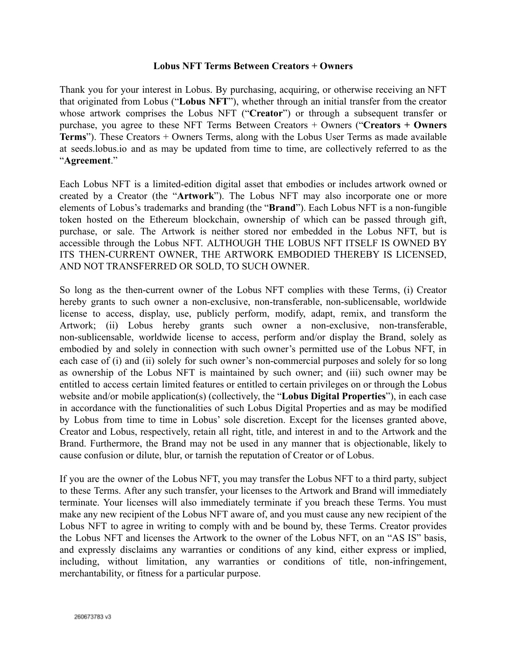## **Lobus NFT Terms Between Creators + Owners**

Thank you for your interest in Lobus. By purchasing, acquiring, or otherwise receiving an NFT that originated from Lobus ("**Lobus NFT**"), whether through an initial transfer from the creator whose artwork comprises the Lobus NFT ("**Creator**") or through a subsequent transfer or purchase, you agree to these NFT Terms Between Creators + Owners ("**Creators + Owners Terms**"). These Creators + Owners Terms, along with the Lobus User Terms as made available at seeds.lobus.io and as may be updated from time to time, are collectively referred to as the "**Agreement**."

Each Lobus NFT is a limited-edition digital asset that embodies or includes artwork owned or created by a Creator (the "**Artwork**"). The Lobus NFT may also incorporate one or more elements of Lobus's trademarks and branding (the "**Brand**"). Each Lobus NFT is a non-fungible token hosted on the Ethereum blockchain, ownership of which can be passed through gift, purchase, or sale. The Artwork is neither stored nor embedded in the Lobus NFT, but is accessible through the Lobus NFT. ALTHOUGH THE LOBUS NFT ITSELF IS OWNED BY ITS THEN-CURRENT OWNER, THE ARTWORK EMBODIED THEREBY IS LICENSED, AND NOT TRANSFERRED OR SOLD, TO SUCH OWNER.

So long as the then-current owner of the Lobus NFT complies with these Terms, (i) Creator hereby grants to such owner a non-exclusive, non-transferable, non-sublicensable, worldwide license to access, display, use, publicly perform, modify, adapt, remix, and transform the Artwork; (ii) Lobus hereby grants such owner a non-exclusive, non-transferable, non-sublicensable, worldwide license to access, perform and/or display the Brand, solely as embodied by and solely in connection with such owner's permitted use of the Lobus NFT, in each case of (i) and (ii) solely for such owner's non-commercial purposes and solely for so long as ownership of the Lobus NFT is maintained by such owner; and (iii) such owner may be entitled to access certain limited features or entitled to certain privileges on or through the Lobus website and/or mobile application(s) (collectively, the "**Lobus Digital Properties**"), in each case in accordance with the functionalities of such Lobus Digital Properties and as may be modified by Lobus from time to time in Lobus' sole discretion. Except for the licenses granted above, Creator and Lobus, respectively, retain all right, title, and interest in and to the Artwork and the Brand. Furthermore, the Brand may not be used in any manner that is objectionable, likely to cause confusion or dilute, blur, or tarnish the reputation of Creator or of Lobus.

If you are the owner of the Lobus NFT, you may transfer the Lobus NFT to a third party, subject to these Terms. After any such transfer, your licenses to the Artwork and Brand will immediately terminate. Your licenses will also immediately terminate if you breach these Terms. You must make any new recipient of the Lobus NFT aware of, and you must cause any new recipient of the Lobus NFT to agree in writing to comply with and be bound by, these Terms. Creator provides the Lobus NFT and licenses the Artwork to the owner of the Lobus NFT, on an "AS IS" basis, and expressly disclaims any warranties or conditions of any kind, either express or implied, including, without limitation, any warranties or conditions of title, non-infringement, merchantability, or fitness for a particular purpose.